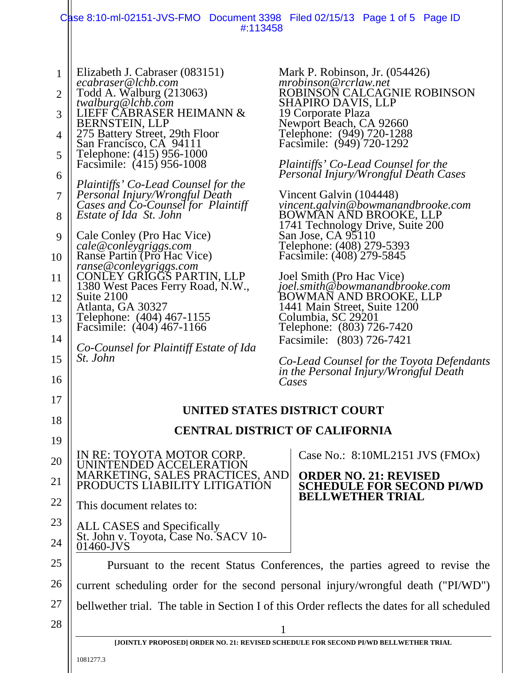|                                                                                                             | Case 8:10-ml-02151-JVS-FMO Document 3398 Filed 02/15/13 Page 1 of 5 Page ID<br>#:113458                                                                                                                                                                                                                                                                                                                                                                                                                                                                                                                                                                                                                                                                                |                                                                                                                                                                                                                                                                                                                                                                                                                                                                                                                                                                                                                                                                                                                                                                                                                              |  |
|-------------------------------------------------------------------------------------------------------------|------------------------------------------------------------------------------------------------------------------------------------------------------------------------------------------------------------------------------------------------------------------------------------------------------------------------------------------------------------------------------------------------------------------------------------------------------------------------------------------------------------------------------------------------------------------------------------------------------------------------------------------------------------------------------------------------------------------------------------------------------------------------|------------------------------------------------------------------------------------------------------------------------------------------------------------------------------------------------------------------------------------------------------------------------------------------------------------------------------------------------------------------------------------------------------------------------------------------------------------------------------------------------------------------------------------------------------------------------------------------------------------------------------------------------------------------------------------------------------------------------------------------------------------------------------------------------------------------------------|--|
| $\mathbf{1}$<br>$\overline{2}$<br>3<br>4<br>5<br>6<br>7<br>8<br>9<br>10<br>11<br>12<br>13<br>14<br>15<br>16 | Elizabeth J. Cabraser (083151)<br>ecabraser@lchb.com<br>Todd A. Walburg (213063)<br>twalburg@lchb.com<br>LIEFF CABRASER HEIMANN &<br>BERNSTEIN, LLP<br>275 Battery Street, 29th Floor<br>San Francisco, CA 94111<br>Telephone: (415) 956-1000<br>Facsimile: (415) 956-1008<br>Plaintiffs' Co-Lead Counsel for the<br>Personal Injury/Wrongful Death<br>Cases and Co-Counsel for Plaintiff<br><i>Estate of Ida St. John</i><br>Cale Conley (Pro Hac Vice)<br>cale@conleygriggs.com<br>Ranse Partin (Pro Hac Vice)<br>ranse@conleygriggs.com<br>CONLEY GRIGGS PARTIN, LLP<br>1380 West Paces Ferry Road, N.W.,<br>Suite 2100<br>Atlanta, GA 30327<br>Telephone: (404) 467-1155<br>Facsimile: (404) 467-1166<br>Co-Counsel for Plaintiff Estate of Ida<br><i>St. John</i> | Mark P. Robinson, Jr. (054426)<br>mrobinson@rcrlaw.net<br>ROBINSON CALCAGNIE ROBINSON<br>SHAPIRO DAVIS, LLP<br>19 Corporate Plaza<br>Newport Beach, CA 92660<br>Telephone: (949) 720-1288<br>Facsimile: (949) 720-1292<br>Plaintiffs' Co-Lead Counsel for the<br>Personal Injury/Wrongful Death Cases<br>Vincent Galvin (104448)<br>vincent.galvin@bowmanandbrooke.com<br>BOWMAN AND BROOKE, LLP<br>1741 Technology Drive, Suite 200<br>San Jose, CA 95110<br>Telephone: (408) 279-5393<br>Facsimile: (408) 279-5845<br>Joel Smith (Pro Hac Vice)<br>joel.smith@bowmanandbrooke.com<br>BOWMAN AND BROOKE, LLP<br>1441 Main Street, Suite 1200<br>Columbia, SC 29201<br>Telephone: (803) 726-7420<br>Facsimile: (803) 726-7421<br>Co-Lead Counsel for the Toyota Defendants<br>in the Personal Injury/Wrongful Death<br>Cases |  |
| 17                                                                                                          |                                                                                                                                                                                                                                                                                                                                                                                                                                                                                                                                                                                                                                                                                                                                                                        |                                                                                                                                                                                                                                                                                                                                                                                                                                                                                                                                                                                                                                                                                                                                                                                                                              |  |
| 18                                                                                                          | UNITED STATES DISTRICT COURT                                                                                                                                                                                                                                                                                                                                                                                                                                                                                                                                                                                                                                                                                                                                           |                                                                                                                                                                                                                                                                                                                                                                                                                                                                                                                                                                                                                                                                                                                                                                                                                              |  |
| 19                                                                                                          | <b>CENTRAL DISTRICT OF CALIFORNIA</b>                                                                                                                                                                                                                                                                                                                                                                                                                                                                                                                                                                                                                                                                                                                                  |                                                                                                                                                                                                                                                                                                                                                                                                                                                                                                                                                                                                                                                                                                                                                                                                                              |  |
| 20                                                                                                          | IN RE: TOYOTA MOTOR CORP.<br>UNINTENDED ACCELERATION                                                                                                                                                                                                                                                                                                                                                                                                                                                                                                                                                                                                                                                                                                                   | Case No.: 8:10ML2151 JVS (FMOx)                                                                                                                                                                                                                                                                                                                                                                                                                                                                                                                                                                                                                                                                                                                                                                                              |  |
| 21                                                                                                          | MARKETING, SALES PRACTICES, AND<br>PRODUCTS LÍABILITY LITIGATIÓN                                                                                                                                                                                                                                                                                                                                                                                                                                                                                                                                                                                                                                                                                                       | <b>ORDER NO. 21: REVISED</b><br><b>CHEDULE FOR SECOND PI/WD</b>                                                                                                                                                                                                                                                                                                                                                                                                                                                                                                                                                                                                                                                                                                                                                              |  |
| 22                                                                                                          | This document relates to:                                                                                                                                                                                                                                                                                                                                                                                                                                                                                                                                                                                                                                                                                                                                              | <b>BELLWETHER TRIAL</b>                                                                                                                                                                                                                                                                                                                                                                                                                                                                                                                                                                                                                                                                                                                                                                                                      |  |
| 23                                                                                                          | ALL CASES and Specifically<br>St. John v. Toyota, Case No. SACV 10-<br>01460-JVS                                                                                                                                                                                                                                                                                                                                                                                                                                                                                                                                                                                                                                                                                       |                                                                                                                                                                                                                                                                                                                                                                                                                                                                                                                                                                                                                                                                                                                                                                                                                              |  |
| 24                                                                                                          |                                                                                                                                                                                                                                                                                                                                                                                                                                                                                                                                                                                                                                                                                                                                                                        |                                                                                                                                                                                                                                                                                                                                                                                                                                                                                                                                                                                                                                                                                                                                                                                                                              |  |
| 25                                                                                                          | Pursuant to the recent Status Conferences, the parties agreed to revise the                                                                                                                                                                                                                                                                                                                                                                                                                                                                                                                                                                                                                                                                                            |                                                                                                                                                                                                                                                                                                                                                                                                                                                                                                                                                                                                                                                                                                                                                                                                                              |  |
| 26                                                                                                          |                                                                                                                                                                                                                                                                                                                                                                                                                                                                                                                                                                                                                                                                                                                                                                        | current scheduling order for the second personal injury/wrongful death ("PI/WD")                                                                                                                                                                                                                                                                                                                                                                                                                                                                                                                                                                                                                                                                                                                                             |  |
| 27                                                                                                          |                                                                                                                                                                                                                                                                                                                                                                                                                                                                                                                                                                                                                                                                                                                                                                        | bellwether trial. The table in Section I of this Order reflects the dates for all scheduled                                                                                                                                                                                                                                                                                                                                                                                                                                                                                                                                                                                                                                                                                                                                  |  |
| 28                                                                                                          | 1                                                                                                                                                                                                                                                                                                                                                                                                                                                                                                                                                                                                                                                                                                                                                                      |                                                                                                                                                                                                                                                                                                                                                                                                                                                                                                                                                                                                                                                                                                                                                                                                                              |  |
|                                                                                                             | [JOINTLY PROPOSED] ORDER NO. 21: REVISED SCHEDULE FOR SECOND PI/WD BELLWETHER TRIAL                                                                                                                                                                                                                                                                                                                                                                                                                                                                                                                                                                                                                                                                                    |                                                                                                                                                                                                                                                                                                                                                                                                                                                                                                                                                                                                                                                                                                                                                                                                                              |  |

1081277.3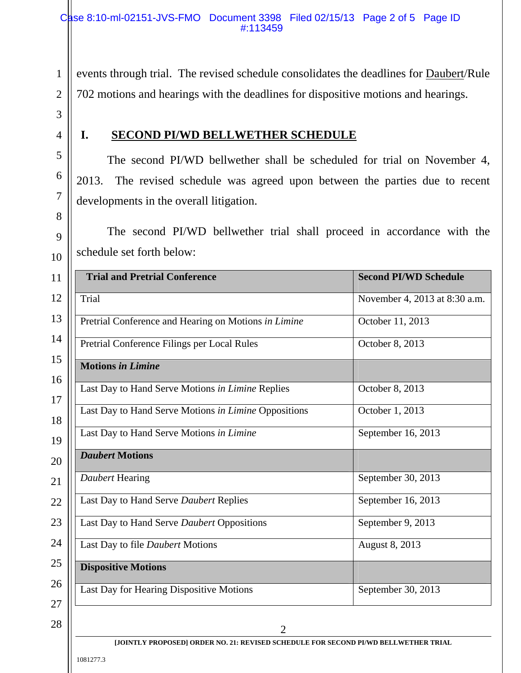events through trial. The revised schedule consolidates the deadlines for Daubert/Rule 702 motions and hearings with the deadlines for dispositive motions and hearings.

3 4

5

6

7

8

9

10

1

2

## **I. SECOND PI/WD BELLWETHER SCHEDULE**

The second PI/WD bellwether shall be scheduled for trial on November 4, 2013. The revised schedule was agreed upon between the parties due to recent developments in the overall litigation.

The second PI/WD bellwether trial shall proceed in accordance with the schedule set forth below:

| 11       | <b>Trial and Pretrial Conference</b>                 | <b>Second PI/WD Schedule</b>  |
|----------|------------------------------------------------------|-------------------------------|
| 12       | Trial                                                | November 4, 2013 at 8:30 a.m. |
| 13       | Pretrial Conference and Hearing on Motions in Limine | October 11, 2013              |
| 14       | Pretrial Conference Filings per Local Rules          | October 8, 2013               |
| 15       | <b>Motions in Limine</b>                             |                               |
| 16<br>17 | Last Day to Hand Serve Motions in Limine Replies     | October 8, 2013               |
| 18       | Last Day to Hand Serve Motions in Limine Oppositions | October 1, 2013               |
| 19       | Last Day to Hand Serve Motions in Limine             | September 16, 2013            |
| 20       | <b>Daubert Motions</b>                               |                               |
| 21       | Daubert Hearing                                      | September 30, 2013            |
| 22       | Last Day to Hand Serve Daubert Replies               | September 16, 2013            |
| 23       | Last Day to Hand Serve Daubert Oppositions           | September 9, 2013             |
| 24       | Last Day to file Daubert Motions                     | August 8, 2013                |
| 25       | <b>Dispositive Motions</b>                           |                               |
| 26       | Last Day for Hearing Dispositive Motions             | September 30, 2013            |
| 27       |                                                      |                               |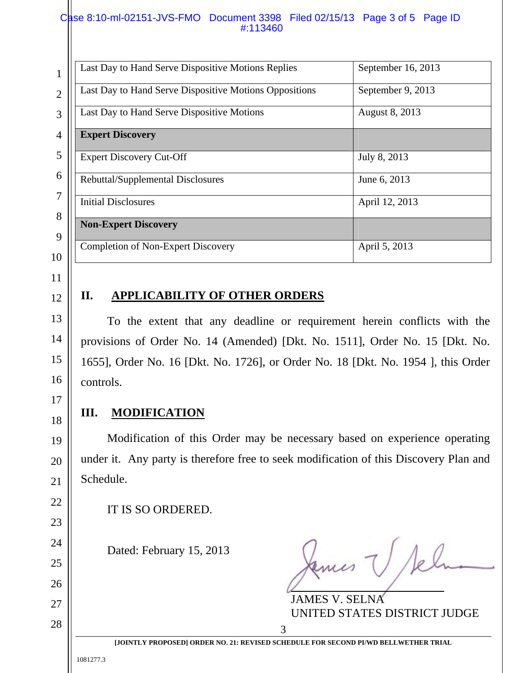## Case 8:10-ml-02151-JVS-FMO Document 3398 Filed 02/15/13 Page 3 of 5 Page ID #:113460

| T              | Last Day to Hand Serve Dispositive Motions Replies     | September 16, 2013 |
|----------------|--------------------------------------------------------|--------------------|
| $\overline{2}$ | Last Day to Hand Serve Dispositive Motions Oppositions | September 9, 2013  |
| 3              | Last Day to Hand Serve Dispositive Motions             | August 8, 2013     |
| 4              | <b>Expert Discovery</b>                                |                    |
| 5              | <b>Expert Discovery Cut-Off</b>                        | July 8, 2013       |
| 6<br>7         | Rebuttal/Supplemental Disclosures                      | June 6, 2013       |
| 8              | <b>Initial Disclosures</b>                             | April 12, 2013     |
| 9              | <b>Non-Expert Discovery</b>                            |                    |
| 10             | <b>Completion of Non-Expert Discovery</b>              | April 5, 2013      |

11

12

13

14

15

16

17

18

19

20

21

22

23

24

25

26

27

28

## **II. APPLICABILITY OF OTHER ORDERS**

To the extent that any deadline or requirement herein conflicts with the provisions of Order No. 14 (Amended) [Dkt. No. 1511], Order No. 15 [Dkt. No. 1655], Order No. 16 [Dkt. No. 1726], or Order No. 18 [Dkt. No. 1954 ], this Order controls.

## **III. MODIFICATION**

Modification of this Order may be necessary based on experience operating under it. Any party is therefore free to seek modification of this Discovery Plan and Schedule.

IT IS SO ORDERED.

Dated: February 15, 2013

kemes V/k

 JAMES V. SELNA UNITED STATES DISTRICT JUDGE

1081277.3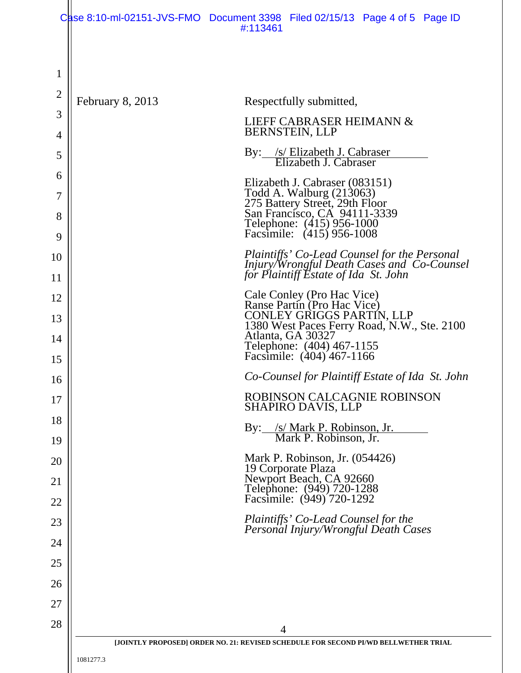|                |                  | Case 8:10-ml-02151-JVS-FMO Document 3398 Filed 02/15/13 Page 4 of 5 Page ID<br>#:113461                                 |
|----------------|------------------|-------------------------------------------------------------------------------------------------------------------------|
|                |                  |                                                                                                                         |
| 1              |                  |                                                                                                                         |
| $\overline{2}$ |                  |                                                                                                                         |
| 3              | February 8, 2013 | Respectfully submitted,                                                                                                 |
| 4              |                  | LIEFF CABRASER HEIMANN &<br><b>BERNSTEIN, LLP</b>                                                                       |
| 5              |                  | By: /s/ Elizabeth J. Cabraser<br>Elizabeth J. Cabraser                                                                  |
| 6              |                  |                                                                                                                         |
| 7              |                  | Elizabeth J. Cabraser (083151)                                                                                          |
| 8              |                  | Todd A. Walburg (213063)<br>275 Battery Street, 29th Floor<br>San Francisco, CA 94111-3339<br>Telephone: (415) 956-1000 |
| 9              |                  | Facsimile: (415) 956-1008                                                                                               |
| 10             |                  | Plaintiffs' Co-Lead Counsel for the Personal<br>Injury/Wrongful Death Cases and Co-Counsel                              |
| 11             |                  | for Plaintiff Estate of Ida St. John                                                                                    |
| 12             |                  | Cale Conley (Pro Hac Vice)<br>Ranse Partin (Pro Hac Vice)                                                               |
| 13             |                  | CONLEY GRIGGS PARTÍN, LLP<br>1380 West Paces Ferry Road, N.W., Ste. 2100                                                |
| 14<br>15       |                  | Atlanta, GA 30327<br>Telephone: (404) 467-1155<br>Facsimile: (404) 467-1166                                             |
| 16             |                  | Co-Counsel for Plaintiff Estate of Ida St. John                                                                         |
| 17             |                  | ROBINSON CALCAGNIE ROBINSON<br><b>SHAPIRO DAVIS, LLP</b>                                                                |
| 18             |                  | By: /s/ Mark P. Robinson, Jr.<br>Mark P. Robinson, Jr.                                                                  |
| 19             |                  |                                                                                                                         |
| 20             |                  | Mark P. Robinson, Jr. (054426)                                                                                          |
| 21             |                  | 19 Corporate Plaza<br>Newport Beach, CA 92660<br>Telephone: (949) 720-1288<br>Facsimile: (949) 720-1292                 |
| 22             |                  |                                                                                                                         |
| 23             |                  | Plaintiffs' Co-Lead Counsel for the<br>Personal Injury/Wrongful Death Cases                                             |
| 24             |                  |                                                                                                                         |
| 25             |                  |                                                                                                                         |
| 26             |                  |                                                                                                                         |
| 27<br>28       |                  |                                                                                                                         |
|                |                  | 4<br>[JOINTLY PROPOSED] ORDER NO. 21: REVISED SCHEDULE FOR SECOND PI/WD BELLWETHER TRIAL                                |
|                | 1081277.3        |                                                                                                                         |